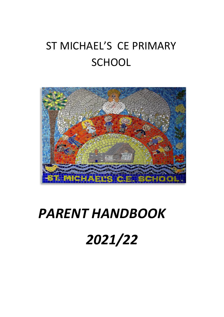# ST MICHAEL'S CE PRIMARY **SCHOOL**



# *PARENT HANDBOOK*

*2021/22*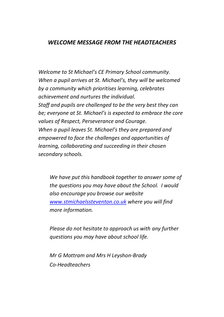# *WELCOME MESSAGE FROM THE HEADTEACHERS*

*Welcome to St Michael's CE Primary School community. When a pupil arrives at St. Michael's, they will be welcomed by a community which prioritises learning, celebrates achievement and nurtures the individual. Staff and pupils are challenged to be the very best they can be; everyone at St. Michael's is expected to embrace the core values of Respect, Perseverance and Courage. When a pupil leaves St. Michael's they are prepared and empowered to face the challenges and opportunities of learning, collaborating and succeeding in their chosen secondary schools.*

*We have put this handbook together to answer some of the questions you may have about the School. I would also encourage you browse our website [www.stmichaelssteventon.co.uk](http://www.stmichaelssteventon.co.uk/) where you will find more information.* 

*Please do not hesitate to approach us with any further questions you may have about school life.*

*Mr G Mottram and Mrs H Leyshon-Brady Co-Headteachers*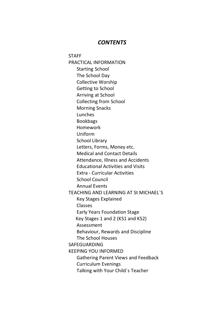### *CONTENTS*

**STAFF** PRACTICAL INFORMATION Starting School The School Day Collective Worship Getting to School Arriving at School Collecting from School Morning Snacks Lunches Bookbags Homework Uniform School Library Letters, Forms, Money etc. Medical and Contact Details Attendance, Illness and Accidents Educational Activities and Visits Extra - Curricular Activities School Council Annual Events TEACHING AND LEARNING AT St MICHAEL`S Key Stages Explained Classes Early Years Foundation Stage Key Stages 1 and 2 (KS1 and KS2) Assessment Behaviour, Rewards and Discipline The School Houses SAFEGUARDING KEEPING YOU INFORMED Gathering Parent Views and Feedback Curriculum Evenings Talking with Your Child`s Teacher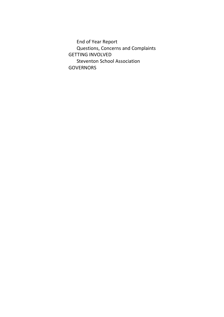End of Year Report Questions, Concerns and Complaints GETTING INVOLVED Steventon School Association **GOVERNORS**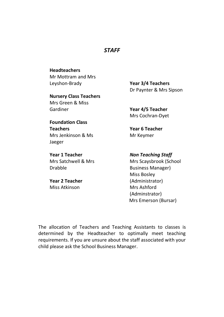# *STAFF*

**Headteachers** Mr Mottram and Mrs Leyshon-Brady

**Nursery Class Teachers** Mrs Green & Miss Gardiner

**Foundation Class** 

**Teachers**

Jaeger

**Year 3/4 Teachers** Dr Paynter & Mrs Sipson

**Year 4/5 Teacher** Mrs Cochran-Dyet

**Year 6 Teacher** Mr Keymer

**Year 1 Teacher** Mrs Satchwell & Mrs Drabble

Mrs Jenkinson & Ms

**Year 2 Teacher** Miss Atkinson

*Non Teaching Staff*

Mrs Scaysbrook (School Business Manager) Miss Bosley (Administrator) Mrs Ashford (Adminstrator) Mrs Emerson (Bursar)

The allocation of Teachers and Teaching Assistants to classes is determined by the Headteacher to optimally meet teaching requirements. If you are unsure about the staff associated with your child please ask the School Business Manager.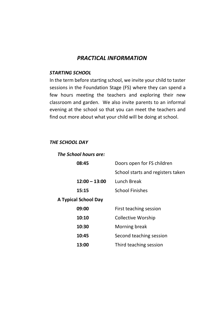# *PRACTICAL INFORMATION*

#### *STARTING SCHOOL*

In the term before starting school, we invite your child to taster sessions in the Foundation Stage (FS) where they can spend a few hours meeting the teachers and exploring their new classroom and garden. We also invite parents to an informal evening at the school so that you can meet the teachers and find out more about what your child will be doing at school.

## *THE SCHOOL DAY*

| The School hours are: |                                   |  |
|-----------------------|-----------------------------------|--|
| 08:45                 | Doors open for FS children        |  |
|                       | School starts and registers taken |  |
| $12:00 - 13:00$       | Lunch Break                       |  |
| 15:15                 | School Finishes                   |  |
| A Typical School Day  |                                   |  |
| 09:00                 | First teaching session            |  |
| 10:10                 | Collective Worship                |  |
| 10:30                 | Morning break                     |  |
| 10:45                 | Second teaching session           |  |
| 13:00                 | Third teaching session            |  |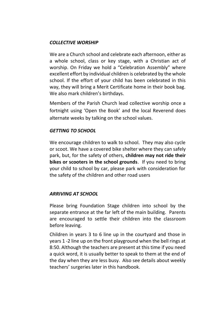## *COLLECTIVE WORSHIP*

We are a Church school and celebrate each afternoon, either as a whole school, class or key stage, with a Christian act of worship. On Friday we hold a "Celebration Assembly" where excellent effort by individual children is celebrated by the whole school. If the effort of your child has been celebrated in this way, they will bring a Merit Certificate home in their book bag. We also mark children's birthdays.

Members of the Parish Church lead collective worship once a fortnight using 'Open the Book' and the local Reverend does alternate weeks by talking on the school values.

## *GETTING TO SCHOOL*

We encourage children to walk to school. They may also cycle or scoot. We have a covered bike shelter where they can safely park, but, for the safety of others, **children may not ride their bikes or scooters in the school grounds**. If you need to bring your child to school by car, please park with consideration for the safety of the children and other road users

## *ARRIVING AT SCHOOL*

Please bring Foundation Stage children into school by the separate entrance at the far left of the main building. Parents are encouraged to settle their children into the classroom before leaving.

Children in years 3 to 6 line up in the courtyard and those in years 1 -2 line up on the front playground when the bell rings at 8:50. Although the teachers are present at this time if you need a quick word, it is usually better to speak to them at the end of the day when they are less busy. Also see details about weekly teachers' surgeries later in this handbook.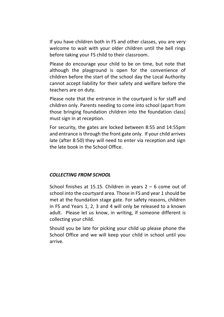If you have children both in FS and other classes, you are very welcome to wait with your older children until the bell rings before taking your FS child to their classroom.

Please do encourage your child to be on time, but note that although the playground is open for the convenience of children before the start of the school day the Local Authority cannot accept liability for their safety and welfare before the teachers are on duty.

Please note that the entrance in the courtyard is for staff and children only. Parents needing to come into school (apart from those bringing foundation children into the foundation class) must sign in at reception.

For security, the gates are locked between 8:55 and 14:55pm and entrance is through the front gate only. If your child arrives late (after 8:50) they will need to enter via reception and sign the late book in the School Office.

#### *COLLECTING FROM SCHOOL*

School finishes at 15.15. Children in years  $2 - 6$  come out of school into the courtyard area. Those in FS and year 1 should be met at the foundation stage gate. For safety reasons, children in FS and Years 1, 2, 3 and 4 will only be released to a known adult. Please let us know, in writing, if someone different is collecting your child.

Should you be late for picking your child up please phone the School Office and we will keep your child in school until you arrive.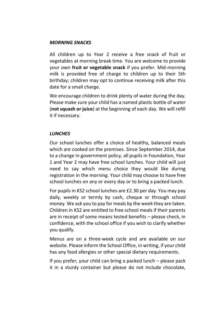#### *MORNING SNACKS*

All children up to Year 2 receive a free snack of fruit or vegetables at morning break time. You are welcome to provide your own **fruit or vegetable snack** if you prefer. Mid-morning milk is provided free of charge to children up to their 5th birthday; children may opt to continue receiving milk after this date for a small charge.

We encourage children to drink plenty of water during the day. Please make sure your child has a named plastic bottle of water (**not squash or juice**) at the beginning of each day. We will refill it if necessary.

#### *LUNCHES*

Our school lunches offer a choice of healthy, balanced meals which are cooked on the premises. Since September 2014, due to a change in government policy, all pupils in Foundation, Year 1 and Year 2 may have free school lunches. Your child will just need to say which menu choice they would like during registration in the morning. Your child may choose to have free school lunches on any or every day or to bring a packed lunch.

For pupils in KS2 school lunches are £2.30 per day. You may pay daily, weekly or termly by cash, cheque or through school money. We ask you to pay for meals by the week they are taken. Children in KS2 are entitled to free school meals if their parents are in receipt of some means tested benefits – please check, in confidence, with the school office if you wish to clarify whether you qualify.

Menus are on a three-week cycle and are available on our website. Please inform the School Office, in writing, if your child has any food allergies or other special dietary requirements.

If you prefer, your child can bring a packed lunch – please pack it in a sturdy container but please do not include chocolate,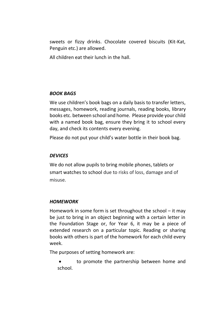sweets or fizzy drinks. Chocolate covered biscuits (Kit-Kat, Penguin etc.) are allowed.

All children eat their lunch in the hall.

## *BOOK BAGS*

We use children's book bags on a daily basis to transfer letters, messages, homework, reading journals, reading books, library books etc. between school and home. Please provide your child with a named book bag, ensure they bring it to school every day, and check its contents every evening.

Please do not put your child's water bottle in their book bag.

# *DEVICES*

We do not allow pupils to bring mobile phones, tablets or smart watches to school due to risks of loss, damage and of misuse.

## *HOMEWORK*

Homework in some form is set throughout the school – it may be just to bring in an object beginning with a certain letter in the Foundation Stage or, for Year 6, it may be a piece of extended research on a particular topic. Reading or sharing books with others is part of the homework for each child every week.

The purposes of setting homework are:

• to promote the partnership between home and school.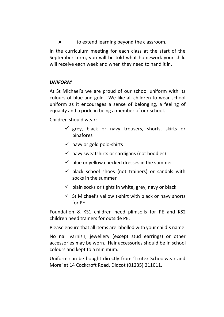.• to extend learning beyond the classroom.

In the curriculum meeting for each class at the start of the September term, you will be told what homework your child will receive each week and when they need to hand it in.

## *UNIFORM*

At St Michael's we are proud of our school uniform with its colours of blue and gold. We like all children to wear school uniform as it encourages a sense of belonging, a feeling of equality and a pride in being a member of our school.

Children should wear:

- $\checkmark$  grey, black or navy trousers, shorts, skirts or pinafores
- $\checkmark$  navy or gold polo-shirts
- $\checkmark$  navy sweatshirts or cardigans (not hoodies)
- $\checkmark$  blue or vellow checked dresses in the summer
- $\checkmark$  black school shoes (not trainers) or sandals with socks in the summer
- $\checkmark$  plain socks or tights in white, grey, navy or black
- $\checkmark$  St Michael's yellow t-shirt with black or navy shorts for PE

Foundation & KS1 children need plimsolls for PE and KS2 children need trainers for outside PE.

Please ensure that all items are labelled with your child`s name.

No nail varnish, jewellery (except stud earrings) or other accessories may be worn. Hair accessories should be in school colours and kept to a minimum.

Uniform can be bought directly from 'Trutex Schoolwear and More' at 14 Cockcroft Road, Didcot (01235) 211011.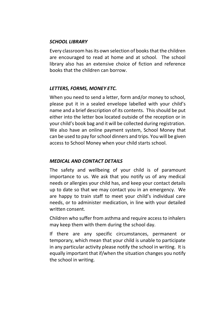## *SCHOOL LIBRARY*

Every classroom has its own selection of books that the children are encouraged to read at home and at school. The school library also has an extensive choice of fiction and reference books that the children can borrow.

#### *LETTERS, FORMS, MONEY ETC.*

When you need to send a letter, form and/or money to school, please put it in a sealed envelope labelled with your child's name and a brief description of its contents. This should be put either into the letter box located outside of the reception or in your child's book bag and it will be collected during registration. We also have an online payment system, School Money that can be used to pay for school dinners and trips. You will be given access to School Money when your child starts school.

#### *MEDICAL AND CONTACT DETAILS*

The safety and wellbeing of your child is of paramount importance to us. We ask that you notify us of any medical needs or allergies your child has, and keep your contact details up to date so that we may contact you in an emergency. We are happy to train staff to meet your child's individual care needs, or to administer medication, in line with your detailed written consent.

Children who suffer from asthma and require access to inhalers may keep them with them during the school day.

If there are any specific circumstances, permanent or temporary, which mean that your child is unable to participate in any particular activity please notify the school in writing. It is equally important that if/when the situation changes you notify the school in writing.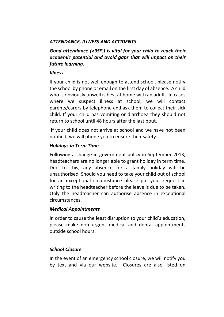# *ATTENDANCE, ILLNESS AND ACCIDENTS*

*Good attendance (>95%) is vital for your child to reach their academic potential and avoid gaps that will impact on their future learning.*

#### *Illness*

If your child is not well enough to attend school, please notify the school by phone or email on the first day of absence. A child who is obviously unwell is best at home with an adult. In cases where we suspect illness at school, we will contact parents/carers by telephone and ask them to collect their sick child. If your child has vomiting or diarrhoea they should not return to school until 48 hours after the last bout.

If your child does not arrive at school and we have not been notified, we will phone you to ensure their safety.

## *Holidays in Term Time*

Following a change in government policy in September 2013, headteachers are no longer able to grant holiday in term time. Due to this, any absence for a family holiday will be unauthorised. Should you need to take your child out of school for an exceptional circumstance please put your request in writing to the headteacher before the leave is due to be taken. Only the headteacher can authorise absence in exceptional circumstances.

## *Medical Appointments*

In order to cause the least disruption to your child's education, please make non urgent medical and dental appointments outside school hours.

## *School Closure*

In the event of an emergency school closure, we will notify you by text and via our website. Closures are also listed on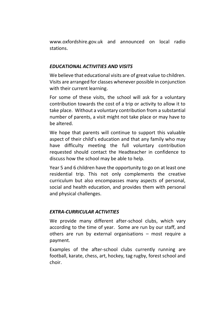www.oxfordshire.gov.uk and announced on local radio stations.

# *EDUCATIONAL ACTIVITIES AND VISITS*

We believe that educational visits are of great value to children. Visits are arranged for classes whenever possible in conjunction with their current learning.

For some of these visits, the school will ask for a voluntary contribution towards the cost of a trip or activity to allow it to take place. Without a voluntary contribution from a substantial number of parents, a visit might not take place or may have to be altered.

We hope that parents will continue to support this valuable aspect of their child's education and that any family who may have difficulty meeting the full voluntary contribution requested should contact the Headteacher in confidence to discuss how the school may be able to help.

Year 5 and 6 children have the opportunity to go on at least one residential trip. This not only complements the creative curriculum but also encompasses many aspects of personal, social and health education, and provides them with personal and physical challenges.

# *EXTRA-CURRICULAR ACTIVITIES*

We provide many different after-school clubs, which vary according to the time of year. Some are run by our staff, and others are run by external organisations – most require a payment.

Examples of the after-school clubs currently running are football, karate, chess, art, hockey, tag rugby, forest school and choir.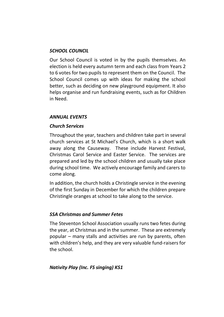#### *SCHOOL COUNCIL*

Our School Council is voted in by the pupils themselves. An election is held every autumn term and each class from Years 2 to 6 votes for two pupils to represent them on the Council. The School Council comes up with ideas for making the school better, such as deciding on new playground equipment. It also helps organise and run fundraising events, such as for Children in Need.

## *ANNUAL EVENTS*

## *Church Services*

Throughout the year, teachers and children take part in several church services at St Michael's Church, which is a short walk away along the Causeway. These include Harvest Festival, Christmas Carol Service and Easter Service. The services are prepared and led by the school children and usually take place during school time. We actively encourage family and carers to come along.

In addition, the church holds a Christingle service in the evening of the first Sunday in December for which the children prepare Christingle oranges at school to take along to the service.

## *SSA Christmas and Summer Fetes*

The Steventon School Association usually runs two fetes during the year, at Christmas and in the summer. These are extremely popular – many stalls and activities are run by parents, often with children's help, and they are very valuable fund-raisers for the school.

#### *Nativity Play (Inc. FS singing) KS1*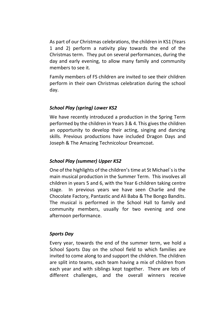As part of our Christmas celebrations, the children in KS1 (Years 1 and 2) perform a nativity play towards the end of the Christmas term. They put on several performances, during the day and early evening, to allow many family and community members to see it.

Family members of FS children are invited to see their children perform in their own Christmas celebration during the school day.

# *School Play (spring) Lower KS2*

We have recently introduced a production in the Spring Term performed by the children in Years 3 & 4. This gives the children an opportunity to develop their acting, singing and dancing skills. Previous productions have included Dragon Days and Joseph & The Amazing Technicolour Dreamcoat.

## *School Play (summer) Upper KS2*

One of the highlights of the children's time at St Michael`s is the main musical production in the Summer Term. This involves all children in years 5 and 6, with the Year 6 children taking centre stage. In previous years we have seen Charlie and the Chocolate Factory, Pantastic and Ali Baba & The Bongo Bandits. The musical is performed in the School Hall to family and community members, usually for two evening and one afternoon performance.

## *Sports Day*

Every year, towards the end of the summer term, we hold a School Sports Day on the school field to which families are invited to come along to and support the children. The children are split into teams, each team having a mix of children from each year and with siblings kept together. There are lots of different challenges, and the overall winners receive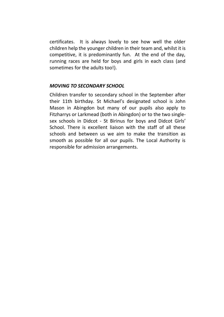certificates. It is always lovely to see how well the older children help the younger children in their team and, whilst it is competitive, it is predominantly fun. At the end of the day, running races are held for boys and girls in each class (and sometimes for the adults too!).

#### *MOVING TO SECONDARY SCHOOL*

Children transfer to secondary school in the September after their 11th birthday. St Michael's designated school is John Mason in Abingdon but many of our pupils also apply to Fitzharrys or Larkmead (both in Abingdon) or to the two singlesex schools in Didcot - St Birinus for boys and Didcot Girls' School. There is excellent liaison with the staff of all these schools and between us we aim to make the transition as smooth as possible for all our pupils. The Local Authority is responsible for admission arrangements.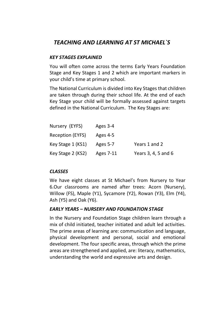# *TEACHING AND LEARNING AT ST MICHAEL`S*

#### *KEY STAGES EXPLAINED*

You will often come across the terms Early Years Foundation Stage and Key Stages 1 and 2 which are important markers in your child's time at primary school.

The National Curriculum is divided into Key Stages that children are taken through during their school life. At the end of each Key Stage your child will be formally assessed against targets defined in the National Curriculum. The Key Stages are:

| Nursery (EYFS)    | Ages 3-4  |                     |
|-------------------|-----------|---------------------|
| Reception (EYFS)  | Ages 4-5  |                     |
| Key Stage 1 (KS1) | Ages 5-7  | Years 1 and 2       |
| Key Stage 2 (KS2) | Ages 7-11 | Years 3, 4, 5 and 6 |

## *CLASSES*

We have eight classes at St Michael's from Nursery to Year 6.Our classrooms are named after trees: Acorn (Nursery), Willow (FS), Maple (Y1), Sycamore (Y2), Rowan (Y3), Elm (Y4), Ash (Y5) and Oak (Y6).

## *EARLY YEARS – NURSERY AND FOUNDATION STAGE*

In the Nursery and Foundation Stage children learn through a mix of child initiated, teacher initiated and adult led activities. The prime areas of learning are: communication and language, physical development and personal, social and emotional development. The four specific areas, through which the prime areas are strengthened and applied, are: literacy, mathematics, understanding the world and expressive arts and design.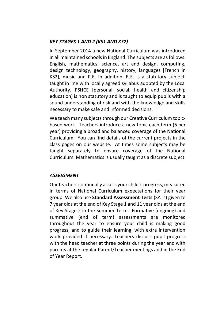# *KEY STAGES 1 AND 2 (KS1 AND KS2)*

In September 2014 a new National Curriculum was introduced in all maintained schools in England. The subjects are as follows: English, mathematics, science, art and design, computing, design technology, geography, history, languages [French in KS2], music and P.E. In addition, R.E. is a statutory subject, taught in line with locally agreed syllabus adopted by the Local Authority. PSHCE [personal, social, health and citizenship education] is non statutory and is taught to equip pupils with a sound understanding of risk and with the knowledge and skills necessary to make safe and informed decisions.

We teach many subjects through our Creative Curriculum topicbased work. Teachers introduce a new topic each term (6 per year) providing a broad and balanced coverage of the National Curriculum. You can find details of the current projects in the class pages on our website. At times some subjects may be taught separately to ensure coverage of the National Curriculum. Mathematics is usually taught as a discrete subject.

## *ASSESSMENT*

Our teachers continually assess your child`s progress, measured in terms of National Curriculum expectations for their year group. We also use **Standard Assessment Tests** (SATs) given to 7 year olds at the end of Key Stage 1 and 11 year olds at the end of Key Stage 2 in the Summer Term. Formative (ongoing) and summative (end of term) assessments are monitored throughout the year to ensure your child is making good progress, and to guide their learning, with extra intervention work provided if necessary. Teachers discuss pupil progress with the head teacher at three points during the year and with parents at the regular Parent/Teacher meetings and in the End of Year Report.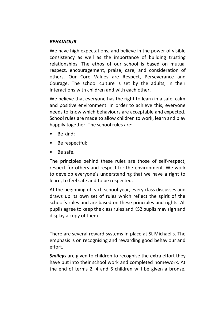#### *BEHAVIOUR*

We have high expectations, and believe in the power of visible consistency as well as the importance of building trusting relationships. The ethos of our school is based on mutual respect, encouragement, praise, care, and consideration of others. Our Core Values are Respect, Perseverance and Courage. The school culture is set by the adults, in their interactions with children and with each other.

We believe that everyone has the right to learn in a safe, calm and positive environment. In order to achieve this, everyone needs to know which behaviours are acceptable and expected. School rules are made to allow children to work, learn and play happily together. The school rules are:

- Be kind:
- Be respectful;
- Be safe.

The principles behind these rules are those of self-respect, respect for others and respect for the environment. We work to develop everyone's understanding that we have a right to learn, to feel safe and to be respected.

At the beginning of each school year, every class discusses and draws up its own set of rules which reflect the spirit of the school's rules and are based on these principles and rights. All pupils agree to keep the class rules and KS2 pupils may sign and display a copy of them.

There are several reward systems in place at St Michael's. The emphasis is on recognising and rewarding good behaviour and effort.

*Smileys* are given to children to recognise the extra effort they have put into their school work and completed homework. At the end of terms 2, 4 and 6 children will be given a bronze,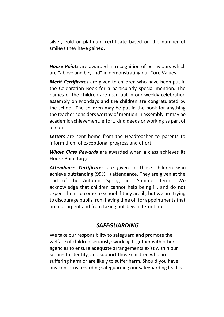silver, gold or platinum certificate based on the number of smileys they have gained.

*House Points* are awarded in recognition of behaviours which are "above and beyond" in demonstrating our Core Values.

*Merit Certificates* are given to children who have been put in the Celebration Book for a particularly special mention. The names of the children are read out in our weekly celebration assembly on Mondays and the children are congratulated by the school. The children may be put in the book for anything the teacher considers worthy of mention in assembly. It may be academic achievement, effort, kind deeds or working as part of a team.

*Letters* are sent home from the Headteacher to parents to inform them of exceptional progress and effort.

*Whole Class Rewards* are awarded when a class achieves its House Point target.

*Attendance Certificates* are given to those children who achieve outstanding (99% +) attendance. They are given at the end of the Autumn, Spring and Summer terms. We acknowledge that children cannot help being ill, and do not expect them to come to school if they are ill, but we are trying to discourage pupils from having time off for appointments that are not urgent and from taking holidays in term time.

# *SAFEGUARDING*

We take our responsibility to safeguard and promote the welfare of children seriously; working together with other agencies to ensure adequate arrangements exist within our setting to identify, and support those children who are suffering harm or are likely to suffer harm. Should you have any concerns regarding safeguarding our safeguarding lead is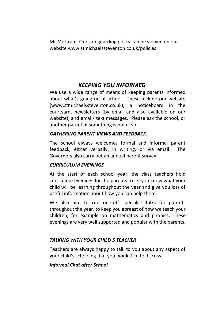Mr Mottram. Our safeguarding policy can be viewed on our website www.stmichaelssteventon.co.uk/policies.

# *KEEPING YOU INFORMED*

We use a wide range of means of keeping parents informed about what's going on at school. These include our website (www.stmichaelssteventon.co.uk), a noticeboard in the courtyard, newsletters (by email and also available on our website), and email/ text messages. Please ask the school, or another parent, if something is not clear.

## *GATHERING PARENT VIEWS AND FEEDBACK*

The school always welcomes formal and informal parent feedback, either verbally, in writing, or via email. The Governors also carry out an annual parent survey.

## *CURRICULUM EVENINGS*

At the start of each school year, the class teachers hold curriculum evenings for the parents to let you know what your child will be learning throughout the year and give you lots of useful information about how you can help them.

We also aim to run one-off specialist talks for parents throughout the year, to keep you abreast of how we teach your children, for example on mathematics and phonics. These evenings are very well supported and popular with the parents.

## *TALKING WITH YOUR CHILD`S TEACHER*

Teachers are always happy to talk to you about any aspect of your child's schooling that you would like to discuss.

## *Informal Chat after School*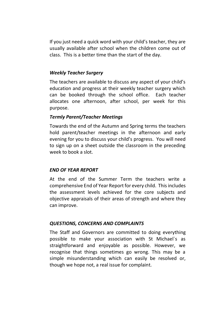If you just need a quick word with your child's teacher, they are usually available after school when the children come out of class. This is a better time than the start of the day.

#### *Weekly Teacher Surgery*

The teachers are available to discuss any aspect of your child's education and progress at their weekly teacher surgery which can be booked through the school office. Each teacher allocates one afternoon, after school, per week for this purpose.

## *Termly Parent/Teacher Meetings*

Towards the end of the Autumn and Spring terms the teachers hold parent/teacher meetings in the afternoon and early evening for you to discuss your child's progress. You will need to sign up on a sheet outside the classroom in the preceding week to book a slot.

## *END OF YEAR REPORT*

At the end of the Summer Term the teachers write a comprehensive End of Year Report for every child. This includes the assessment levels achieved for the core subjects and objective appraisals of their areas of strength and where they can improve.

## *QUESTIONS, CONCERNS AND COMPLAINTS*

The Staff and Governors are committed to doing everything possible to make your association with St Michael`s as straightforward and enjoyable as possible. However, we recognise that things sometimes go wrong. This may be a simple misunderstanding which can easily be resolved or, though we hope not, a real issue for complaint.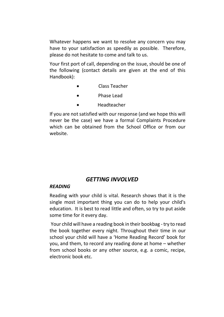Whatever happens we want to resolve any concern you may have to your satisfaction as speedily as possible. Therefore, please do not hesitate to come and talk to us.

Your first port of call, depending on the issue, should be one of the following (contact details are given at the end of this Handbook):

- Class Teacher
- Phase Lead
- Headteacher

If you are not satisfied with our response (and we hope this will never be the case) we have a formal Complaints Procedure which can be obtained from the School Office or from our website.

# *GETTING INVOLVED*

#### *READING*

Reading with your child is vital. Research shows that it is the single most important thing you can do to help your child's education. It is best to read little and often, so try to put aside some time for it every day.

Your child will have a reading book in their bookbag - try to read the book together every night. Throughout their time in our school your child will have a 'Home Reading Record' book for you, and them, to record any reading done at home – whether from school books or any other source, e.g. a comic, recipe, electronic book etc.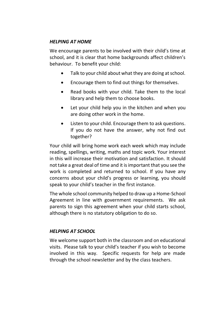## *HELPING AT HOME*

We encourage parents to be involved with their child's time at school, and it is clear that home backgrounds affect children's behaviour. To benefit your child:

- Talk to your child about what they are doing at school.
- Encourage them to find out things for themselves.
- Read books with your child. Take them to the local library and help them to choose books.
- Let your child help you in the kitchen and when you are doing other work in the home.
- Listen to your child. Encourage them to ask questions. If you do not have the answer, why not find out together?

Your child will bring home work each week which may include reading, spellings, writing, maths and topic work. Your interest in this will increase their motivation and satisfaction. It should not take a great deal of time and it is important that you see the work is completed and returned to school. If you have any concerns about your child's progress or learning, you should speak to your child's teacher in the first instance.

The whole school community helped to draw up a Home-School Agreement in line with government requirements. We ask parents to sign this agreement when your child starts school, although there is no statutory obligation to do so.

## *HELPING AT SCHOOL*

We welcome support both in the classroom and on educational visits. Please talk to your child's teacher if you wish to become involved in this way. Specific requests for help are made through the school newsletter and by the class teachers.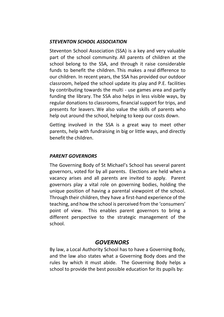## *STEVENTON SCHOOL ASSOCIATION*

Steventon School Association (SSA) is a key and very valuable part of the school community. All parents of children at the school belong to the SSA, and through it raise considerable funds to benefit the children. This makes a real difference to our children. In recent years, the SSA has provided our outdoor classroom, helped the school update its play and P.E. facilities by contributing towards the multi - use games area and partly funding the library. The SSA also helps in less visible ways, by regular donations to classrooms, financial support for trips, and presents for leavers. We also value the skills of parents who help out around the school, helping to keep our costs down.

Getting involved in the SSA is a great way to meet other parents, help with fundraising in big or little ways, and directly benefit the children.

## *PARENT GOVERNORS*

The Governing Body of St Michael's School has several parent governors, voted for by all parents. Elections are held when a vacancy arises and all parents are invited to apply. Parent governors play a vital role on governing bodies, holding the unique position of having a parental viewpoint of the school. Through their children, they have a first-hand experience of the teaching, and how the school is perceived from the 'consumers' point of view. This enables parent governors to bring a different perspective to the strategic management of the school.

# *GOVERNORS*

By law, a Local Authority School has to have a Governing Body, and the law also states what a Governing Body does and the rules by which it must abide. The Governing Body helps a school to provide the best possible education for its pupils by: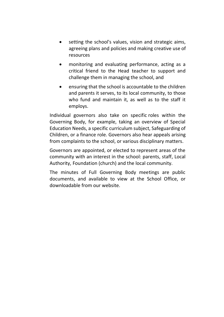- setting the school's values, vision and strategic aims, agreeing plans and policies and making creative use of resources
- monitoring and evaluating performance, acting as a critical friend to the Head teacher to support and challenge them in managing the school, and
- ensuring that the school is accountable to the children and parents it serves, to its local community, to those who fund and maintain it, as well as to the staff it employs.

Individual governors also take on specific roles within the Governing Body, for example, taking an overview of Special Education Needs, a specific curriculum subject, Safeguarding of Children, or a finance role. Governors also hear appeals arising from complaints to the school, or various disciplinary matters.

Governors are appointed, or elected to represent areas of the community with an interest in the school: parents, staff, Local Authority, Foundation (church) and the local community.

The minutes of Full Governing Body meetings are public documents, and available to view at the School Office, or downloadable from our website.